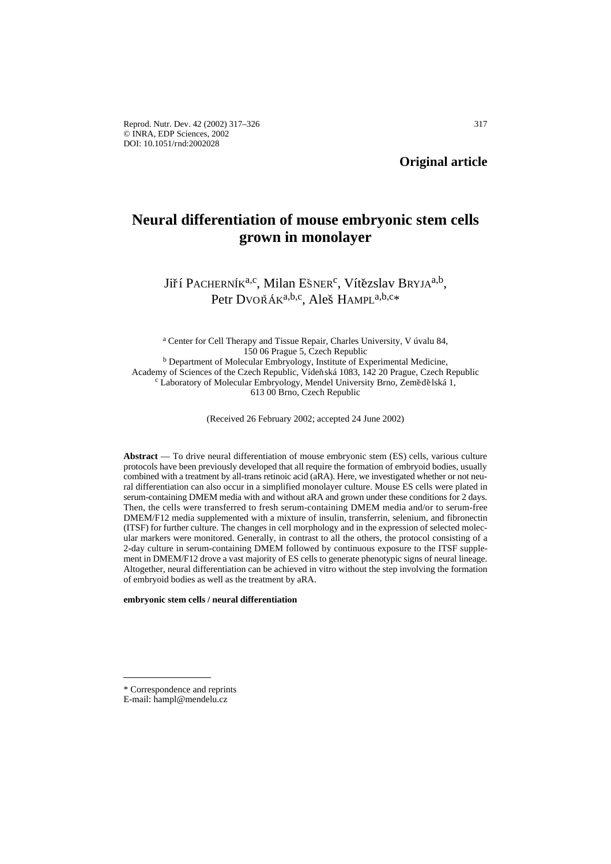# **Neural differentiation of mouse embryonic stem cells grown in monolayer**

# Jiří PACHERNÍK<sup>a,c</sup>, Milan Ešner<sup>c</sup>, Vítězslav Bryja<sup>a,b</sup>, Petr DVOŘÁK<sup>a,b,c</sup>, Aleš HAMPL<sup>a,b,c</sup>\*

<sup>a</sup> Center for Cell Therapy and Tissue Repair, Charles University, V úvalu 84, 150 06 Prague 5, Czech Republic <sup>b</sup> Department of Molecular Embryology, Institute of Experimental Medicine, Academy of Sciences of the Czech Republic, Vídeňská 1083, 142 20 Prague, Czech Republic c Laboratory of Molecular Embryology, Mendel University Brno, Zemědělská 1, 613 00 Brno, Czech Republic

(Received 26 February 2002; accepted 24 June 2002)

**Abstract** — To drive neural differentiation of mouse embryonic stem (ES) cells, various culture protocols have been previously developed that all require the formation of embryoid bodies, usually combined with a treatment by all-trans retinoic acid (aRA). Here, we investigated whether or not neural differentiation can also occur in a simplified monolayer culture. Mouse ES cells were plated in serum-containing DMEM media with and without aRA and grown under these conditions for 2 days. Then, the cells were transferred to fresh serum-containing DMEM media and/or to serum-free DMEM/F12 media supplemented with a mixture of insulin, transferrin, selenium, and fibronectin (ITSF) for further culture. The changes in cell morphology and in the expression of selected molecular markers were monitored. Generally, in contrast to all the others, the protocol consisting of a 2-day culture in serum-containing DMEM followed by continuous exposure to the ITSF supplement in DMEM/F12 drove a vast majority of ES cells to generate phenotypic signs of neural lineage. Altogether, neural differentiation can be achieved in vitro without the step involving the formation of embryoid bodies as well as the treatment by aRA.

**embryonic stem cells / neural differentiation**

<sup>\*</sup> Correspondence and reprints

E-mail: hampl@mendelu.cz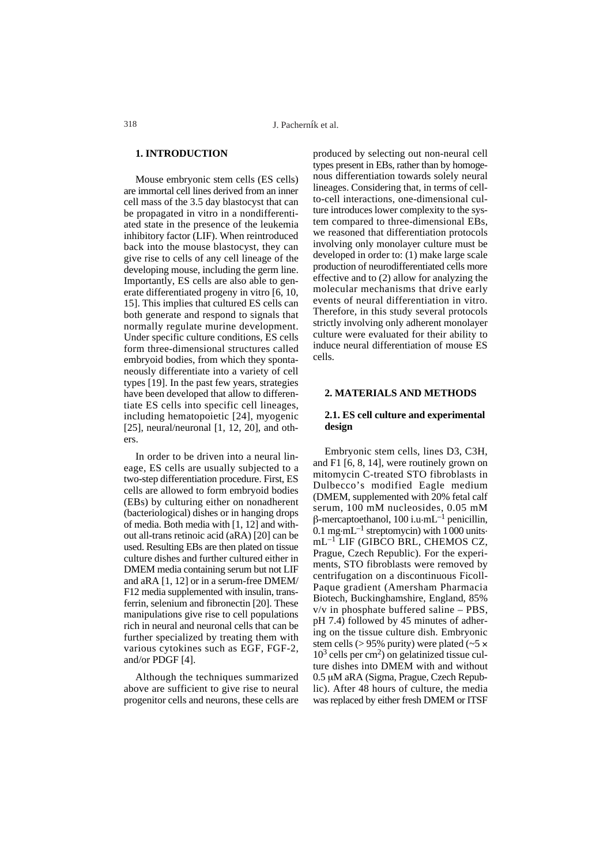# **1. INTRODUCTION**

Mouse embryonic stem cells (ES cells) are immortal cell lines derived from an inner cell mass of the 3.5 day blastocyst that can be propagated in vitro in a nondifferentiated state in the presence of the leukemia inhibitory factor (LIF). When reintroduced back into the mouse blastocyst, they can give rise to cells of any cell lineage of the developing mouse, including the germ line. Importantly, ES cells are also able to generate differentiated progeny in vitro [6, 10, 15]. This implies that cultured ES cells can both generate and respond to signals that normally regulate murine development. Under specific culture conditions, ES cells form three-dimensional structures called embryoid bodies, from which they spontaneously differentiate into a variety of cell types [19]. In the past few years, strategies have been developed that allow to differentiate ES cells into specific cell lineages, including hematopoietic [24], myogenic [25], neural/neuronal  $[1, 12, 20]$ , and others.

In order to be driven into a neural lineage, ES cells are usually subjected to a two-step differentiation procedure. First, ES cells are allowed to form embryoid bodies (EBs) by culturing either on nonadherent (bacteriological) dishes or in hanging drops of media. Both media with [1, 12] and without all-trans retinoic acid (aRA) [20] can be used. Resulting EBs are then plated on tissue culture dishes and further cultured either in DMEM media containing serum but not LIF and aRA [1, 12] or in a serum-free DMEM/ F12 media supplemented with insulin, transferrin, selenium and fibronectin [20]. These manipulations give rise to cell populations rich in neural and neuronal cells that can be further specialized by treating them with various cytokines such as EGF, FGF-2, and/or PDGF [4].

Although the techniques summarized above are sufficient to give rise to neural progenitor cells and neurons, these cells are produced by selecting out non-neural cell types present in EBs, rather than by homogenous differentiation towards solely neural lineages. Considering that, in terms of cellto-cell interactions, one-dimensional culture introduces lower complexity to the system compared to three-dimensional EBs, we reasoned that differentiation protocols involving only monolayer culture must be developed in order to: (1) make large scale production of neurodifferentiated cells more effective and to (2) allow for analyzing the molecular mechanisms that drive early events of neural differentiation in vitro. Therefore, in this study several protocols strictly involving only adherent monolayer culture were evaluated for their ability to induce neural differentiation of mouse ES cells.

#### **2. MATERIALS AND METHODS**

#### **2.1. ES cell culture and experimental design**

Embryonic stem cells, lines D3, C3H, and F1 [6, 8, 14], were routinely grown on mitomycin C-treated STO fibroblasts in Dulbecco's modified Eagle medium (DMEM, supplemented with 20% fetal calf serum, 100 mM nucleosides, 0.05 mM  $\beta$ -mercaptoethanol, 100 i.u.mL<sup>-1</sup> penicillin,  $0.1$  mg $\cdot$ mL<sup>-1</sup> streptomycin) with  $1000$  units. mL–1 LIF (GIBCO BRL, CHEMOS CZ, Prague, Czech Republic). For the experiments, STO fibroblasts were removed by centrifugation on a discontinuous Ficoll-Paque gradient (Amersham Pharmacia Biotech, Buckinghamshire, England, 85% v/v in phosphate buffered saline – PBS, pH 7.4) followed by 45 minutes of adhering on the tissue culture dish. Embryonic stem cells ( $> 95\%$  purity) were plated ( $\sim 5 \times$  $10<sup>3</sup>$  cells per cm<sup>2</sup>) on gelatinized tissue culture dishes into DMEM with and without 0.5 µM aRA (Sigma, Prague, Czech Republic). After 48 hours of culture, the media was replaced by either fresh DMEM or ITSF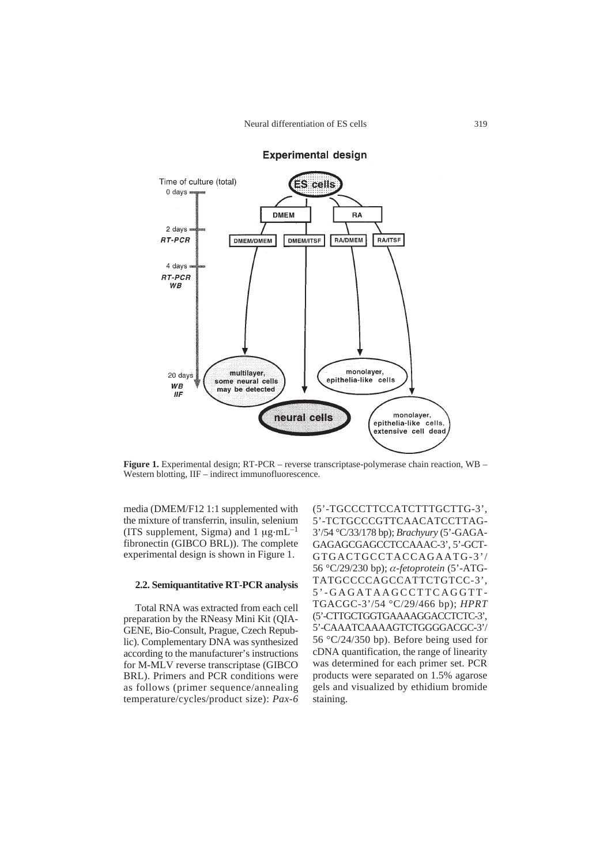

# **Experimental design**

**Figure 1.** Experimental design; RT-PCR – reverse transcriptase-polymerase chain reaction, WB – Western blotting, IIF – indirect immunofluorescence.

media (DMEM/F12 1:1 supplemented with the mixture of transferrin, insulin, selenium (ITS supplement, Sigma) and 1  $\mu$ g·mL<sup>-1</sup> fibronectin (GIBCO BRL)). The complete experimental design is shown in Figure 1.

#### **2.2. Semiquantitative RT-PCR analysis**

Total RNA was extracted from each cell preparation by the RNeasy Mini Kit (QIA-GENE, Bio-Consult, Prague, Czech Republic). Complementary DNA was synthesized according to the manufacturer's instructions for M-MLV reverse transcriptase (GIBCO BRL). Primers and PCR conditions were as follows (primer sequence/annealing temperature/cycles/product size): *Pax-6* (5'-TGCCCTTCCATCTTTGCTTG-3', 5'-TCTGCCCGTTCAACATCCTTAG-3'/54 °C/33/178 bp); *Brachyury* (5'-GAGA-GAGAGCGAGCCTCCAAAC-3', 5'-GCT-GTGACTGCCTACCAGAATG-3'/ 56 °C/29/230 bp); α*-fetoprotein* (5'-ATG-TATGCCCCAGCCATTCTGTCC-3', 5'-GAGATAAGCCTTCAGGTT-TGACGC-3'/54 °C/29/466 bp); *HPRT* (5'-CTTGCTGGTGAAAAGGACCTCTC-3', 5'-CAAATCAAAAGTCTGGGGACGC-3'/ 56 °C/24/350 bp). Before being used for cDNA quantification, the range of linearity was determined for each primer set. PCR products were separated on 1.5% agarose gels and visualized by ethidium bromide staining.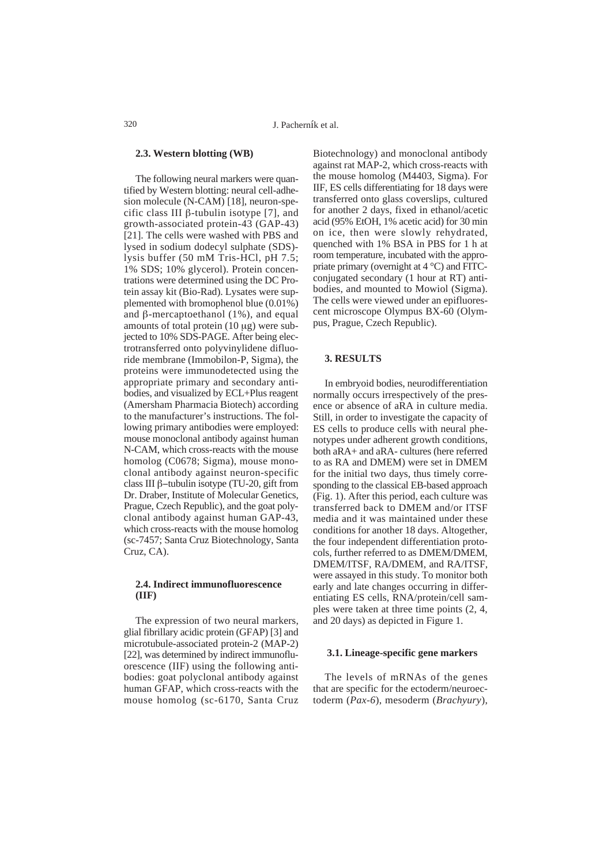#### **2.3. Western blotting (WB)**

The following neural markers were quantified by Western blotting: neural cell-adhesion molecule (N-CAM) [18], neuron-specific class III  $\beta$ -tubulin isotype [7], and growth-associated protein-43 (GAP-43) [21]. The cells were washed with PBS and lysed in sodium dodecyl sulphate (SDS) lysis buffer (50 mM Tris-HCl, pH 7.5; 1% SDS; 10% glycerol). Protein concentrations were determined using the DC Protein assay kit (Bio-Rad). Lysates were supplemented with bromophenol blue (0.01%) and  $\beta$ -mercaptoethanol (1%), and equal amounts of total protein  $(10 \mu g)$  were subjected to 10% SDS-PAGE. After being electrotransferred onto polyvinylidene difluoride membrane (Immobilon-P, Sigma), the proteins were immunodetected using the appropriate primary and secondary antibodies, and visualized by ECL+Plus reagent (Amersham Pharmacia Biotech) according to the manufacturer's instructions. The following primary antibodies were employed: mouse monoclonal antibody against human N-CAM, which cross-reacts with the mouse homolog (C0678; Sigma), mouse monoclonal antibody against neuron-specific class III  $\beta$ -tubulin isotype (TU-20, gift from Dr. Draber, Institute of Molecular Genetics, Prague, Czech Republic), and the goat polyclonal antibody against human GAP-43, which cross-reacts with the mouse homolog (sc-7457; Santa Cruz Biotechnology, Santa Cruz, CA).

# **2.4. Indirect immunofluorescence (IIF)**

The expression of two neural markers, glial fibrillary acidic protein (GFAP) [3] and microtubule-associated protein-2 (MAP-2) [22], was determined by indirect immunofluorescence (IIF) using the following antibodies: goat polyclonal antibody against human GFAP, which cross-reacts with the mouse homolog (sc-6170, Santa Cruz

Biotechnology) and monoclonal antibody against rat MAP-2, which cross-reacts with the mouse homolog (M4403, Sigma). For IIF, ES cells differentiating for 18 days were transferred onto glass coverslips, cultured for another 2 days, fixed in ethanol/acetic acid (95% EtOH, 1% acetic acid) for 30 min on ice, then were slowly rehydrated, quenched with 1% BSA in PBS for 1 h at room temperature, incubated with the appropriate primary (overnight at 4 °C) and FITCconjugated secondary (1 hour at RT) antibodies, and mounted to Mowiol (Sigma). The cells were viewed under an epifluorescent microscope Olympus BX-60 (Olympus, Prague, Czech Republic).

#### **3. RESULTS**

In embryoid bodies, neurodifferentiation normally occurs irrespectively of the presence or absence of aRA in culture media. Still, in order to investigate the capacity of ES cells to produce cells with neural phenotypes under adherent growth conditions, both aRA+ and aRA- cultures (here referred to as RA and DMEM) were set in DMEM for the initial two days, thus timely corresponding to the classical EB-based approach (Fig. 1). After this period, each culture was transferred back to DMEM and/or ITSF media and it was maintained under these conditions for another 18 days. Altogether, the four independent differentiation protocols, further referred to as DMEM/DMEM, DMEM/ITSF, RA/DMEM, and RA/ITSF, were assayed in this study. To monitor both early and late changes occurring in differentiating ES cells, RNA/protein/cell samples were taken at three time points (2, 4, and 20 days) as depicted in Figure 1.

#### **3.1. Lineage-specific gene markers**

The levels of mRNAs of the genes that are specific for the ectoderm/neuroectoderm (*Pax-6*), mesoderm (*Brachyury*),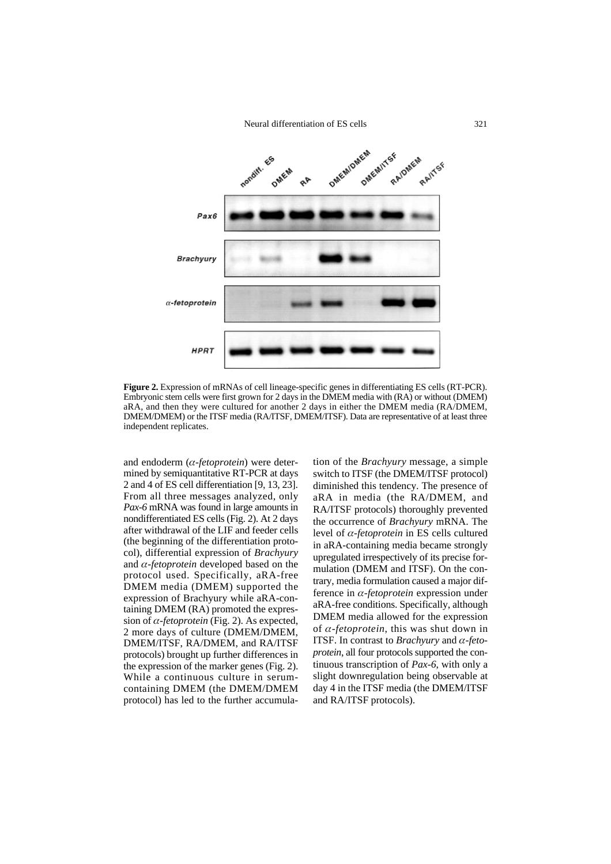Neural differentiation of ES cells



**Figure 2.** Expression of mRNAs of cell lineage-specific genes in differentiating ES cells (RT-PCR). Embryonic stem cells were first grown for 2 days in the DMEM media with (RA) or without (DMEM) aRA, and then they were cultured for another 2 days in either the DMEM media (RA/DMEM, DMEM/DMEM) or the ITSF media (RA/ITSF, DMEM/ITSF). Data are representative of at least three independent replicates.

and endoderm (α*-fetoprotein*) were determined by semiquantitative RT-PCR at days 2 and 4 of ES cell differentiation [9, 13, 23]. From all three messages analyzed, only *Pax-6* mRNA was found in large amounts in nondifferentiated ES cells (Fig. 2). At 2 days after withdrawal of the LIF and feeder cells (the beginning of the differentiation protocol), differential expression of *Brachyury* and α*-fetoprotein* developed based on the protocol used. Specifically, aRA-free DMEM media (DMEM) supported the expression of Brachyury while aRA-containing DMEM (RA) promoted the expression of  $\alpha$ -*fetoprotein* (Fig. 2). As expected, 2 more days of culture (DMEM/DMEM, DMEM/ITSF, RA/DMEM, and RA/ITSF protocols) brought up further differences in the expression of the marker genes (Fig. 2). While a continuous culture in serumcontaining DMEM (the DMEM/DMEM protocol) has led to the further accumula-

tion of the *Brachyury* message, a simple switch to ITSF (the DMEM/ITSF protocol) diminished this tendency. The presence of aRA in media (the RA/DMEM, and RA/ITSF protocols) thoroughly prevented the occurrence of *Brachyury* mRNA. The level of α*-fetoprotein* in ES cells cultured in aRA-containing media became strongly upregulated irrespectively of its precise formulation (DMEM and ITSF). On the contrary, media formulation caused a major difference in α*-fetoprotein* expression under aRA-free conditions. Specifically, although DMEM media allowed for the expression of α*-fetoprotein*, this was shut down in ITSF. In contrast to *Brachyury* and α*-fetoprotein*, all four protocols supported the continuous transcription of *Pax-6*, with only a slight downregulation being observable at day 4 in the ITSF media (the DMEM/ITSF and RA/ITSF protocols).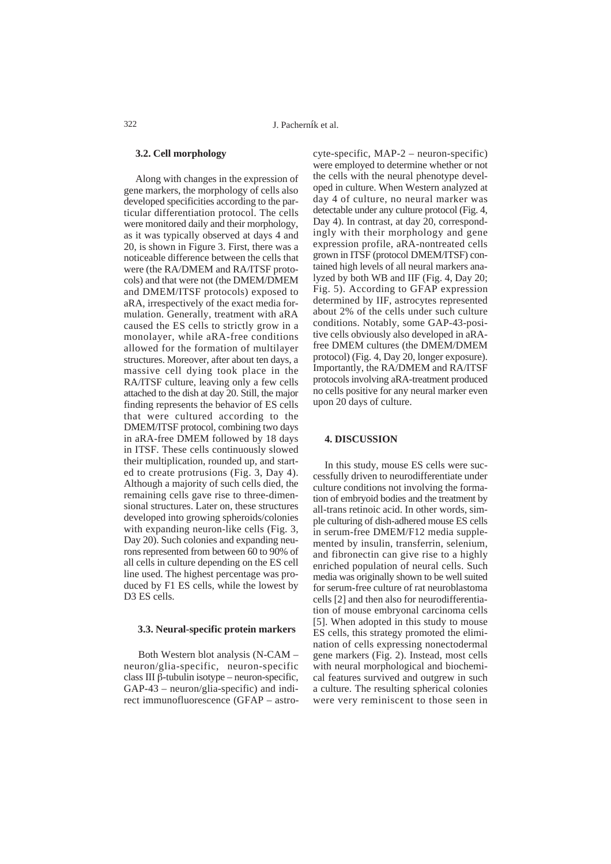## **3.2. Cell morphology**

Along with changes in the expression of gene markers, the morphology of cells also developed specificities according to the particular differentiation protocol. The cells were monitored daily and their morphology, as it was typically observed at days 4 and 20, is shown in Figure 3. First, there was a noticeable difference between the cells that were (the RA/DMEM and RA/ITSF protocols) and that were not (the DMEM/DMEM and DMEM/ITSF protocols) exposed to aRA, irrespectively of the exact media formulation. Generally, treatment with aRA caused the ES cells to strictly grow in a monolayer, while aRA-free conditions allowed for the formation of multilayer structures. Moreover, after about ten days, a massive cell dying took place in the RA/ITSF culture, leaving only a few cells attached to the dish at day 20. Still, the major finding represents the behavior of ES cells that were cultured according to the DMEM/ITSF protocol, combining two days in aRA-free DMEM followed by 18 days in ITSF. These cells continuously slowed their multiplication, rounded up, and started to create protrusions (Fig. 3, Day 4). Although a majority of such cells died, the remaining cells gave rise to three-dimensional structures. Later on, these structures developed into growing spheroids/colonies with expanding neuron-like cells (Fig. 3, Day 20). Such colonies and expanding neurons represented from between 60 to 90% of all cells in culture depending on the ES cell line used. The highest percentage was produced by F1 ES cells, while the lowest by D3 ES cells.

#### **3.3. Neural-specific protein markers**

Both Western blot analysis (N-CAM – neuron/glia-specific, neuron-specific class III  $\beta$ -tubulin isotype – neuron-specific, GAP-43 – neuron/glia-specific) and indirect immunofluorescence (GFAP – astrocyte-specific, MAP-2 – neuron-specific) were employed to determine whether or not the cells with the neural phenotype developed in culture. When Western analyzed at day 4 of culture, no neural marker was detectable under any culture protocol (Fig. 4, Day 4). In contrast, at day 20, correspondingly with their morphology and gene expression profile, aRA-nontreated cells grown in ITSF (protocol DMEM/ITSF) contained high levels of all neural markers analyzed by both WB and IIF (Fig. 4, Day 20; Fig. 5). According to GFAP expression determined by IIF, astrocytes represented about 2% of the cells under such culture conditions. Notably, some GAP-43-positive cells obviously also developed in aRAfree DMEM cultures (the DMEM/DMEM protocol) (Fig. 4, Day 20, longer exposure). Importantly, the RA/DMEM and RA/ITSF protocols involving aRA-treatment produced no cells positive for any neural marker even upon 20 days of culture.

#### **4. DISCUSSION**

In this study, mouse ES cells were successfully driven to neurodifferentiate under culture conditions not involving the formation of embryoid bodies and the treatment by all-trans retinoic acid. In other words, simple culturing of dish-adhered mouse ES cells in serum-free DMEM/F12 media supplemented by insulin, transferrin, selenium, and fibronectin can give rise to a highly enriched population of neural cells. Such media was originally shown to be well suited for serum-free culture of rat neuroblastoma cells [2] and then also for neurodifferentiation of mouse embryonal carcinoma cells [5]. When adopted in this study to mouse ES cells, this strategy promoted the elimination of cells expressing nonectodermal gene markers (Fig. 2). Instead, most cells with neural morphological and biochemical features survived and outgrew in such a culture. The resulting spherical colonies were very reminiscent to those seen in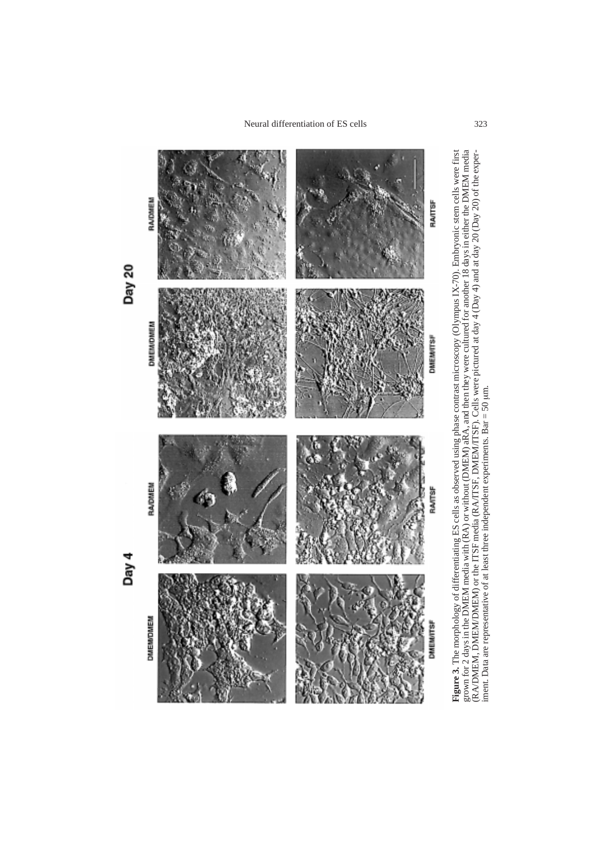

**Figure 3.** The morphology of differentiating ES cells as observed using phase contrast microscopy (Olympus IX-70). Embryonic stem cells were first<br>grown for 2 days in the DMEM media with (RA) or without (DMEM) aRA, and t **Figure 3.** The morphology of differentiating ES cells as observed using phase contrast microscopy (Olympus IX-70). Embryonic stem cells were first<br>grown for 2 days in the DMEM media with (RA) or without (DMEM) aRA, and th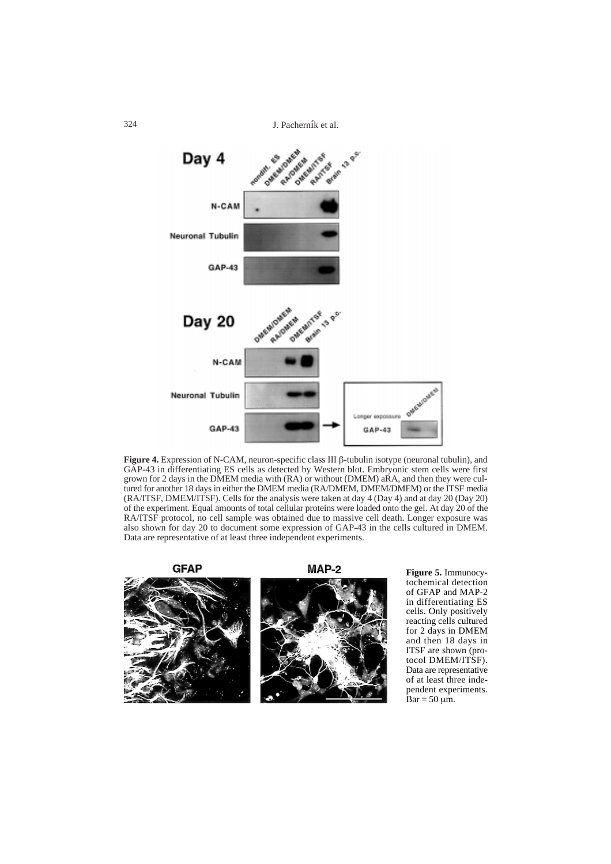324 J. Pacherník et al.



**Figure 4.** Expression of N-CAM, neuron-specific class III β-tubulin isotype (neuronal tubulin), and GAP-43 in differentiating ES cells as detected by Western blot. Embryonic stem cells were first grown for 2 days in the DMEM media with (RA) or without (DMEM) aRA, and then they were cultured for another 18 days in either the DMEM media (RA/DMEM, DMEM/DMEM) or the ITSF media (RA/ITSF, DMEM/ITSF). Cells for the analysis were taken at day 4 (Day 4) and at day 20 (Day 20) of the experiment. Equal amounts of total cellular proteins were loaded onto the gel. At day 20 of the RA/ITSF protocol, no cell sample was obtained due to massive cell death. Longer exposure was also shown for day 20 to document some expression of GAP-43 in the cells cultured in DMEM. Data are representative of at least three independent experiments.

**GFAP** 

MAP-2



**Figure 5.** Immunocytochemical detection of GFAP and MAP-2 in differentiating ES cells. Only positively reacting cells cultured for 2 days in DMEM and then 18 days in ITSF are shown (protocol DMEM/ITSF). Data are representative of at least three independent experiments.  $Bar = 50 \mu m$ .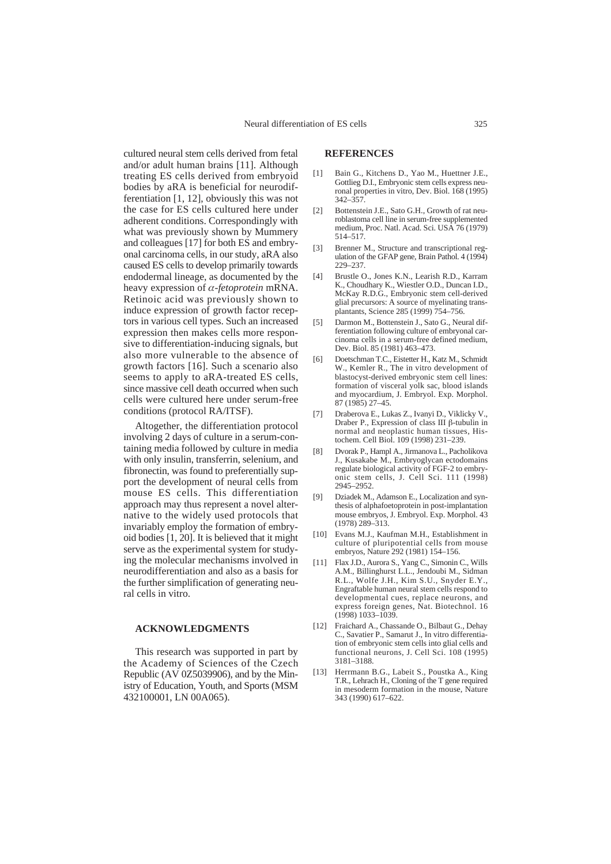cultured neural stem cells derived from fetal and/or adult human brains [11]. Although treating ES cells derived from embryoid bodies by aRA is beneficial for neurodifferentiation [1, 12], obviously this was not the case for ES cells cultured here under adherent conditions. Correspondingly with what was previously shown by Mummery and colleagues [17] for both ES and embryonal carcinoma cells, in our study, aRA also caused ES cells to develop primarily towards endodermal lineage, as documented by the heavy expression of α*-fetoprotein* mRNA. Retinoic acid was previously shown to induce expression of growth factor receptors in various cell types. Such an increased expression then makes cells more responsive to differentiation-inducing signals, but also more vulnerable to the absence of growth factors [16]. Such a scenario also seems to apply to aRA-treated ES cells, since massive cell death occurred when such cells were cultured here under serum-free conditions (protocol RA/ITSF).

Altogether, the differentiation protocol involving 2 days of culture in a serum-containing media followed by culture in media with only insulin, transferrin, selenium, and fibronectin, was found to preferentially support the development of neural cells from mouse ES cells. This differentiation approach may thus represent a novel alternative to the widely used protocols that invariably employ the formation of embryoid bodies [1, 20]. It is believed that it might serve as the experimental system for studying the molecular mechanisms involved in neurodifferentiation and also as a basis for the further simplification of generating neural cells in vitro.

#### **ACKNOWLEDGMENTS**

This research was supported in part by the Academy of Sciences of the Czech Republic (AV 0Z5039906), and by the Ministry of Education, Youth, and Sports (MSM 432100001, LN 00A065).

# **REFERENCES**

- [1] Bain G., Kitchens D., Yao M., Huettner J.E., Gottlieg D.I., Embryonic stem cells express neuronal properties in vitro, Dev. Biol. 168 (1995) 342–357.
- [2] Bottenstein J.E., Sato G.H., Growth of rat neuroblastoma cell line in serum-free supplemented medium, Proc. Natl. Acad. Sci. USA 76 (1979) 514–517.
- [3] Brenner M., Structure and transcriptional regulation of the GFAP gene, Brain Pathol. 4 (1994) 229–237.
- [4] Brustle O., Jones K.N., Learish R.D., Karram K., Choudhary K., Wiestler O.D., Duncan I.D., McKay R.D.G., Embryonic stem cell-derived glial precursors: A source of myelinating transplantants, Science 285 (1999) 754–756.
- [5] Darmon M., Bottenstein J., Sato G., Neural differentiation following culture of embryonal carcinoma cells in a serum-free defined medium, Dev. Biol. 85 (1981) 463–473.
- Doetschman T.C., Eistetter H., Katz M., Schmidt W., Kemler R., The in vitro development of blastocyst-derived embryonic stem cell lines: formation of visceral yolk sac, blood islands and myocardium, J. Embryol. Exp. Morphol. 87 (1985) 27–45.
- [7] Draberova E., Lukas Z., Ivanyi D., Viklicky V., Draber P., Expression of class III  $\beta$ -tubulin in normal and neoplastic human tissues, Histochem. Cell Biol. 109 (1998) 231–239.
- [8] Dvorak P., Hampl A., Jirmanova L., Pacholikova J., Kusakabe M., Embryoglycan ectodomains regulate biological activity of FGF-2 to embryonic stem cells, J. Cell Sci. 111 (1998) 2945–2952.
- [9] Dziadek M., Adamson E., Localization and synthesis of alphafoetoprotein in post-implantation mouse embryos, J. Embryol. Exp. Morphol. 43 (1978) 289–313.
- [10] Evans M.J., Kaufman M.H., Establishment in culture of pluripotential cells from mouse embryos, Nature 292 (1981) 154–156.
- [11] Flax J.D., Aurora S., Yang C., Simonin C., Wills A.M., Billinghurst L.L., Jendoubi M., Sidman R.L., Wolfe J.H., Kim S.U., Snyder E.Y., Engraftable human neural stem cells respond to developmental cues, replace neurons, and express foreign genes, Nat. Biotechnol. 16 (1998) 1033–1039.
- [12] Fraichard A., Chassande O., Bilbaut G., Dehay C., Savatier P., Samarut J., In vitro differentiation of embryonic stem cells into glial cells and functional neurons, J. Cell Sci. 108 (1995) 3181–3188.
- [13] Herrmann B.G., Labeit S., Poustka A., King T.R., Lehrach H., Cloning of the T gene required in mesoderm formation in the mouse, Nature 343 (1990) 617–622.